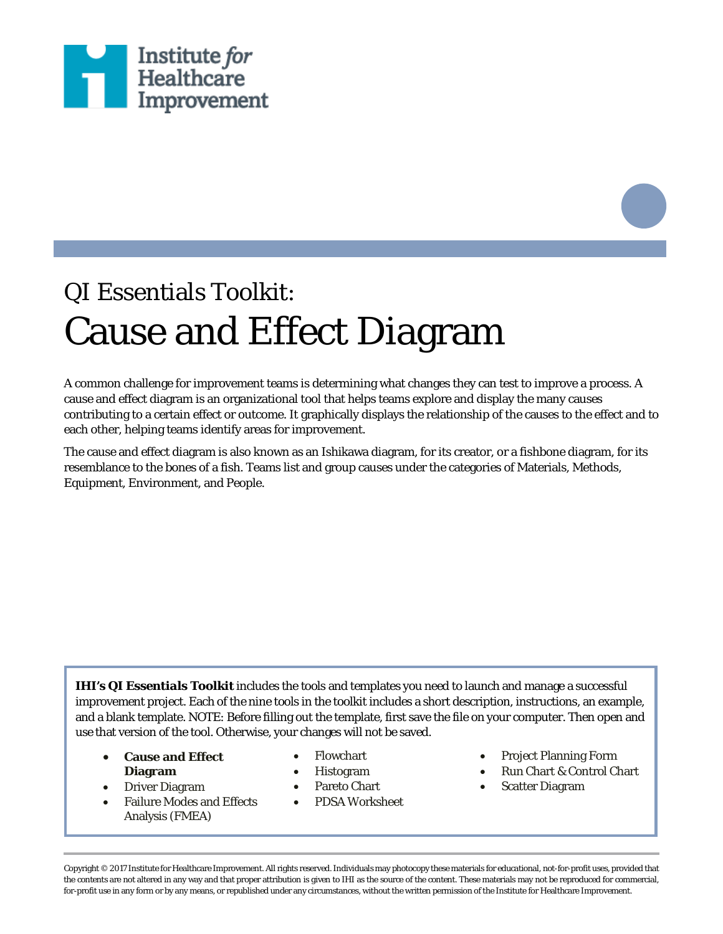

## QI Essentials Toolkit: Cause and Effect Diagram

A common challenge for improvement teams is determining what changes they can test to improve a process. A cause and effect diagram is an organizational tool that helps teams explore and display the many causes contributing to a certain effect or outcome. It graphically displays the relationship of the causes to the effect and to each other, helping teams identify areas for improvement.

The cause and effect diagram is also known as an Ishikawa diagram, for its creator, or a fishbone diagram, for its resemblance to the bones of a fish. Teams list and group causes under the categories of Materials, Methods, Equipment, Environment, and People.

*IHI's QI Essentials Toolkit* includes the tools and templates you need to launch and manage a successful improvement project. Each of the nine tools in the toolkit includes a short description, instructions, an example, and a blank template. NOTE: Before filling out the template, first save the file on your computer. Then open and use that version of the tool. Otherwise, your changes will not be saved.

- **Cause and Effect Diagram**
- Driver Diagram
- Failure Modes and Effects Analysis (FMEA)
- Flowchart
- Histogram
- Pareto Chart
- PDSA Worksheet
- Project Planning Form
- Run Chart & Control Chart
- **Scatter Diagram**

Copyright © 2017 Institute for Healthcare Improvement. All rights reserved. Individuals may photocopy these materials for educational, not-for-profit uses, provided that the contents are not altered in any way and that proper attribution is given to IHI as the source of the content. These materials may not be reproduced for commercial, for-profit use in any form or by any means, or republished under any circumstances, without the written permission of the Institute for Healthcare Improvement.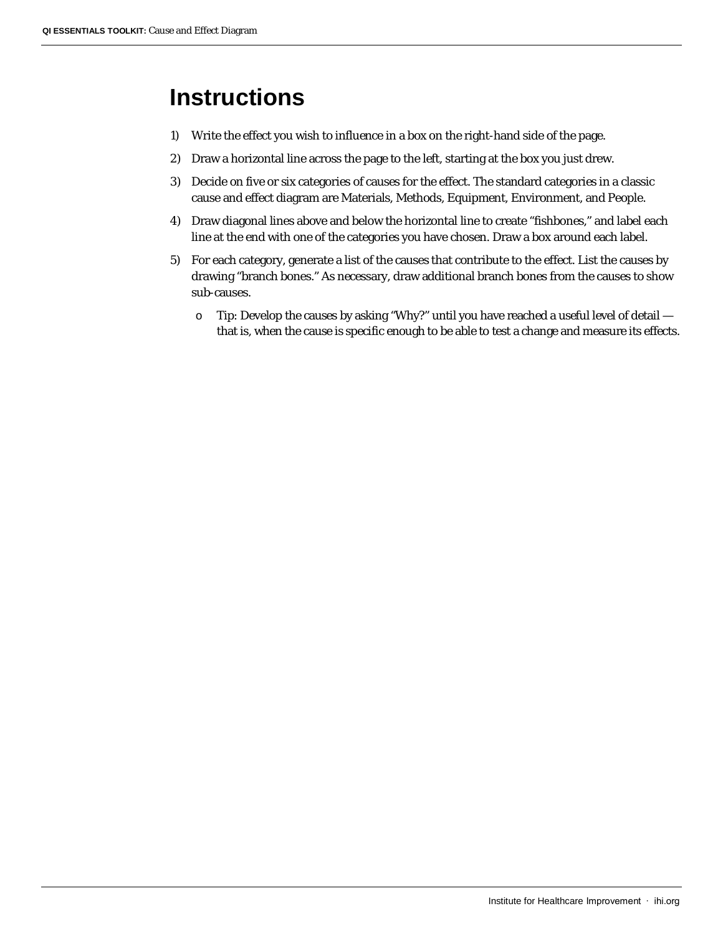## **Instructions**

- 1) Write the effect you wish to influence in a box on the right-hand side of the page.
- 2) Draw a horizontal line across the page to the left, starting at the box you just drew.
- 3) Decide on five or six categories of causes for the effect. The standard categories in a classic cause and effect diagram are Materials, Methods, Equipment, Environment, and People.
- 4) Draw diagonal lines above and below the horizontal line to create "fishbones," and label each line at the end with one of the categories you have chosen. Draw a box around each label.
- 5) For each category, generate a list of the causes that contribute to the effect. List the causes by drawing "branch bones." As necessary, draw additional branch bones from the causes to show sub-causes.
	- o Tip: Develop the causes by asking "Why?" until you have reached a useful level of detail that is, when the cause is specific enough to be able to test a change and measure its effects.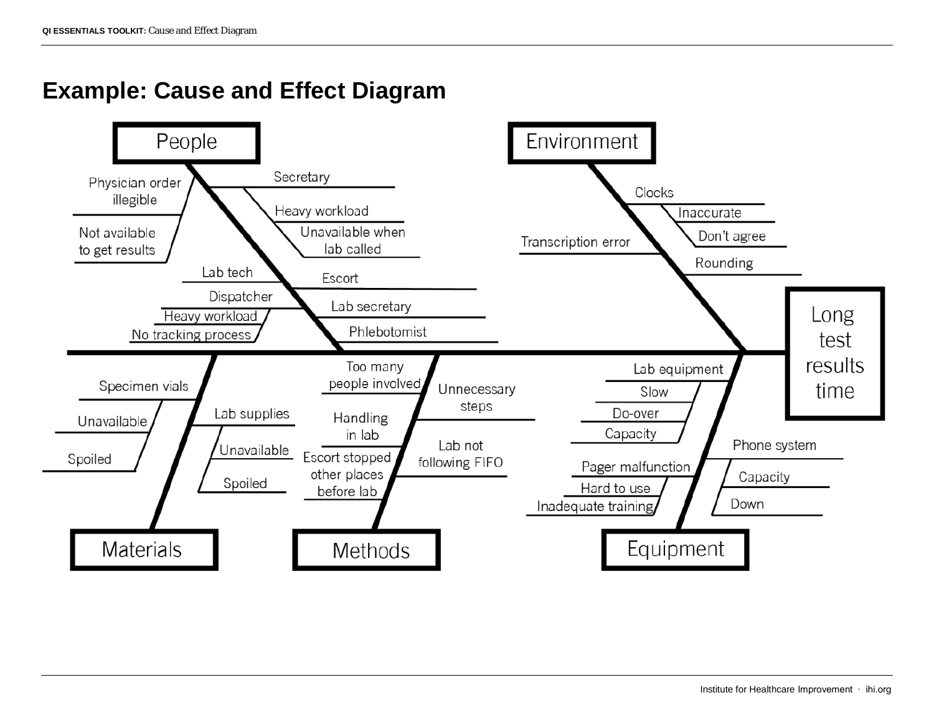## **Example: Cause and Effect Diagram**